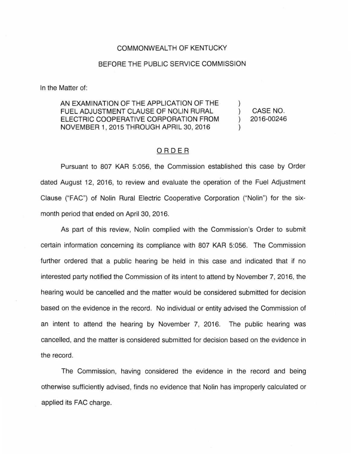## COMMONWEALTH OF KENTUCKY

## BEFORE THE PUBLIC SERVICE COMMISSION

In the Matter of:

AN EXAMINATION OF THE APPLICATION OF THE FUEL ADJUSTMENT CLAUSE OF NOLIN RURAL ELECTRIC COOPERATIVE CORPORATION FROM NOVEMBER 1, 2015 THROUGH APRIL 30, 2016

) CASE NO. ) 2016-00246

)

)

## ORDER

Pursuant to 807 KAR 5:056, the Commission established this case by Order dated August 12, 2016, to review and evaluate the operation of the Fuel Adjustment Clause ("FAC") of Nolin Rural Electric Cooperative Corporation ("Nolin") for the sixmonth period that ended on April 30, 2016.

As part of this review, Nolin complied with the Commission's Order to submit certain information concerning its compliance with 807 KAR 5:056. The Commission further ordered that a public hearing be held in this case and indicated that if no interested party notified the Commission of its intent to attend by November 7, 2016, the hearing would be cancelled and the matter would be considered submitted for decision based on the evidence in the record. No individual or entity advised the Commission of an intent to attend the hearing by November 7, 2016. The public hearing was cancelled, and the matter is considered submitted for decision based on the evidence in the record.

The Commission, having considered the evidence in the record and being otherwise sufficiently advised, finds no evidence that Nolin has improperly calculated or applied its FAC charge.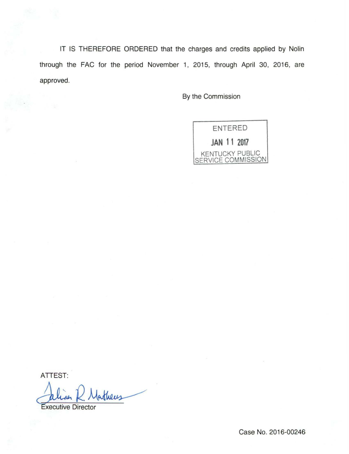IT IS THEREFORE ORDERED that the charges and credits applied by Nolin through the FAC for the period November 1, 2015, through April 30, 2016, are approved.

By the Commission



ATTEST:

ATTEST:<br>Julian R. Matheus

Case No. 2016-00246